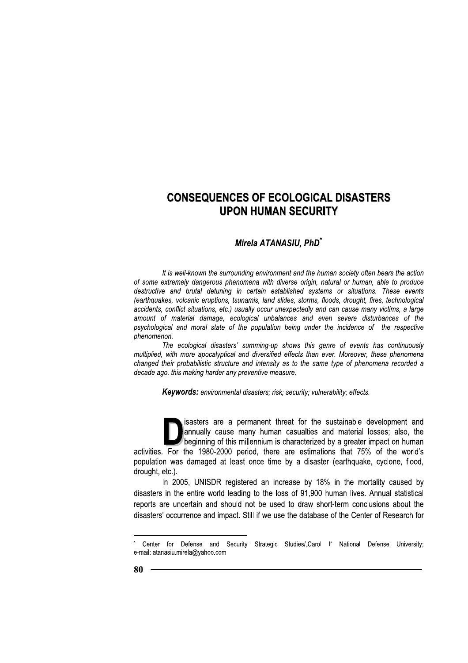# Mirela ATANASIU, PhD<sup>\*</sup>

It is well-known the surrounding environment and the human society often bears the action of some extremely dangerous phenomena with diverse origin, natural or human, able to produce destructive and brutal detuning in certain established systems or situations. These events (earthquakes, volcanic eruptions, tsunamis, land slides, storms, floods, drought, fires, technological accidents, conflict situations, etc.) usually occur unexpectedly and can cause many victims, a large amount of material damage, ecological unbalances and even severe disturbances of the psychological and moral state of the population being under the incidence of the respective phenomenon.

The ecological disasters' summing-up shows this genre of events has continuously multiplied, with more apocalyptical and diversified effects than ever. Moreover, these phenomena changed their probabilistic structure and intensity as to the same type of phenomena recorded a decade ago, this making harder any preventive measure.

Keywords: environmental disasters; risk; security; vulnerability; effects.

isasters are a permanent threat for the sustainable development and annually cause many human casualties and material losses; also, the beginning of this millennium is characterized by a greater impact on human activities. For the 1980-2000 period, there are estimations that 75% of the world's population was damaged at least once time by a disaster (earthquake, cyclone, flood, drought, etc.).

In 2005, UNISDR registered an increase by 18% in the mortality caused by disasters in the entire world leading to the loss of 91,900 human lives. Annual statistical reports are uncertain and should not be used to draw short-term conclusions about the disasters' occurrence and impact. Still if we use the database of the Center of Research for

Center for Defense and Security Strategic Studies/"Carol I" National Defense University; e-mail: atanasiu.mirela@yahoo.com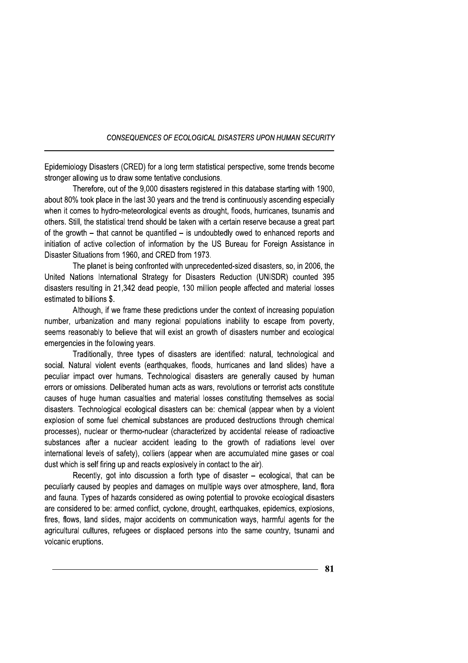Epidemiology Disasters (CRED) for a long term statistical perspective, some trends become stronger allowing us to draw some tentative conclusions.

Therefore, out of the 9,000 disasters registered in this database starting with 1900, about 80% took place in the last 30 years and the trend is continuously ascending especially when it comes to hydro-meteorological events as drought, floods, hurricanes, tsunamis and others. Still, the statistical trend should be taken with a certain reserve because a great part of the growth – that cannot be quantified – is undoubtedly owed to enhanced reports and initiation of active collection of information by the US Bureau for Foreign Assistance in Disaster Situations from 1960, and CRED from 1973.

The planet is being confronted with unprecedented-sized disasters, so, in 2006, the United Nations International Strategy for Disasters Reduction (UNISDR) counted 395 disasters resulting in 21,342 dead people, 130 million people affected and material losses estimated to billions \$.

Although, if we frame these predictions under the context of increasing population number, urbanization and many regional populations inability to escape from poverty, seems reasonably to believe that will exist an growth of disasters number and ecological emergencies in the following years.

Traditionally, three types of disasters are identified: natural, technological and social. Natural violent events (earthquakes, floods, hurricanes and land slides) have a peculiar impact over humans. Technological disasters are generally caused by human errors or omissions. Deliberated human acts as wars, revolutions or terrorist acts constitute causes of huge human casualties and material losses constituting themselves as social disasters. Technological ecological disasters can be: chemical (appear when by a violent explosion of some fuel chemical substances are produced destructions through chemical processes), nuclear or thermo-nuclear (characterized by accidental release of radioactive substances after a nuclear accident leading to the growth of radiations level over international levels of safety), colliers (appear when are accumulated mine gases or coal dust which is self firing up and reacts explosively in contact to the air).

Recently, got into discussion a forth type of disaster – ecological, that can be peculiarly caused by peoples and damages on multiple ways over atmosphere, land, flora and fauna. Types of hazards considered as owing potential to provoke ecological disasters are considered to be: armed conflict, cyclone, drought, earthquakes, epidemics, explosions, fires, flows, land slides, major accidents on communication ways, harmful agents for the agricultural cultures, refugees or displaced persons into the same country, tsunami and volcanic eruptions.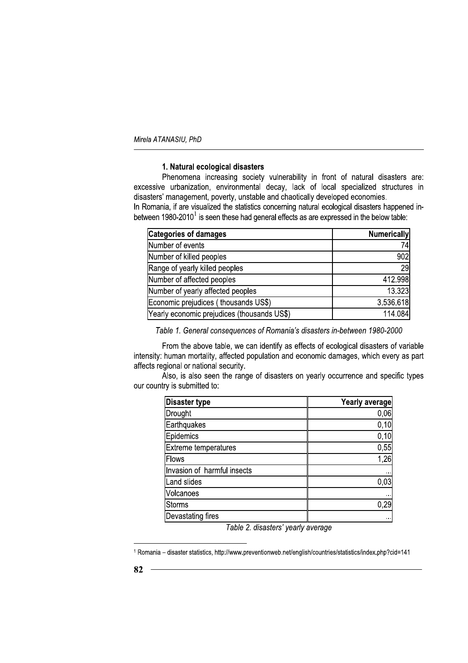# 1. Natural ecological disasters

Phenomena increasing society vulnerability in front of natural disasters are: excessive urbanization, environmental decay, lack of local specialized structures in disasters' management, poverty, unstable and chaotically developed economies.

In Romania, if are visualized the statistics concerning natural ecological disasters happened inbetween 1980-2010<sup>1</sup> is seen these had general effects as are expressed in the below table:

| <b>Categories of damages</b>                | <b>Numerically</b> |
|---------------------------------------------|--------------------|
| Number of events                            | 74                 |
| Number of killed peoples                    | 902I               |
| Range of yearly killed peoples              | <b>29</b>          |
| Number of affected peoples                  | 412.998            |
| Number of yearly affected peoples           | 13.323             |
| Economic prejudices (thousands US\$)        | 3.536.618          |
| Yearly economic prejudices (thousands US\$) | 114.084            |

Table 1. General consequences of Romania's disasters in-between 1980-2000

From the above table, we can identify as effects of ecological disasters of variable intensity: human mortality, affected population and economic damages, which every as part affects regional or national security.

Also, is also seen the range of disasters on yearly occurrence and specific types our country is submitted to:

| <b>Disaster type</b>        | Yearly average |
|-----------------------------|----------------|
| Drought                     | 0,06           |
| Earthquakes                 | 0,10           |
| Epidemics                   | 0,10           |
| <b>Extreme temperatures</b> | 0,55           |
| Flows                       | 1,26           |
| Invasion of harmful insects | $\cdots$       |
| Land slides                 | 0,03           |
| Volcanoes                   | $\cdots$       |
| <b>Storms</b>               | 0,29           |
| Devastating fires           |                |

Table 2. disasters' yearly average

<sup>1</sup> Romania - disaster statistics, http://www.preventionweb.net/english/countries/statistics/index.php?cid=141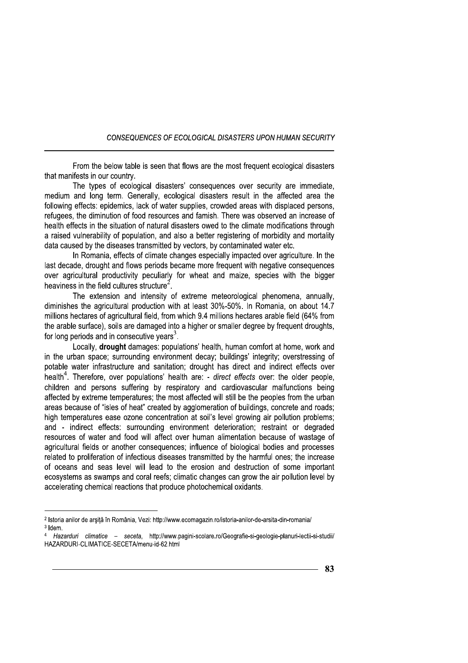From the below table is seen that flows are the most frequent ecological disasters that manifests in our country.

The types of ecological disasters' consequences over security are immediate. medium and long term. Generally, ecological disasters result in the affected area the following effects: epidemics, lack of water supplies, crowded areas with displaced persons, refugees, the diminution of food resources and famish. There was observed an increase of health effects in the situation of natural disasters owed to the climate modifications through a raised vulnerability of population, and also a better registering of morbidity and mortality data caused by the diseases transmitted by vectors, by contaminated water etc.

In Romania, effects of climate changes especially impacted over agriculture. In the last decade, drought and flows periods became more frequent with negative consequences over agricultural productivity peculiarly for wheat and maize, species with the bigger heaviness in the field cultures structure<sup>2</sup>.

The extension and intensity of extreme meteorological phenomena, annually, diminishes the agricultural production with at least 30%-50%. In Romania, on about 14.7 millions hectares of agricultural field, from which 9.4 millions hectares arable field (64% from the arable surface), soils are damaged into a higher or smaller degree by frequent droughts, for long periods and in consecutive years<sup>3</sup>.

Locally, drought damages: populations' health, human comfort at home, work and in the urban space; surrounding environment decay; buildings' integrity; overstressing of potable water infrastructure and sanitation; drought has direct and indirect effects over health<sup>4</sup>. Therefore, over populations' health are: - direct effects over: the older people, children and persons suffering by respiratory and cardiovascular malfunctions being affected by extreme temperatures; the most affected will still be the peoples from the urban areas because of "isles of heat" created by agglomeration of buildings, concrete and roads; high temperatures ease ozone concentration at soil's level growing air pollution problems; and - indirect effects: surrounding environment deterioration: restraint or degraded resources of water and food will affect over human alimentation because of wastage of agricultural fields or another consequences; influence of biological bodies and processes related to proliferation of infectious diseases transmitted by the harmful ones; the increase of oceans and seas level will lead to the erosion and destruction of some important ecosystems as swamps and coral reefs; climatic changes can grow the air pollution level by accelerating chemical reactions that produce photochemical oxidants.

<sup>&</sup>lt;sup>2</sup> Istoria anilor de arșiță în România, Vezi: http://www.ecomagazin.ro/istoria-anilor-de-arsita-din-romania/ <sup>3</sup> Idem.

Hazarduri climatice - seceta, http://www.pagini-scolare.ro/Geografie-si-geologie-planuri-lectii-si-studii/ HAZARDURI-CLIMATICE-SECETA/menu-id-62.html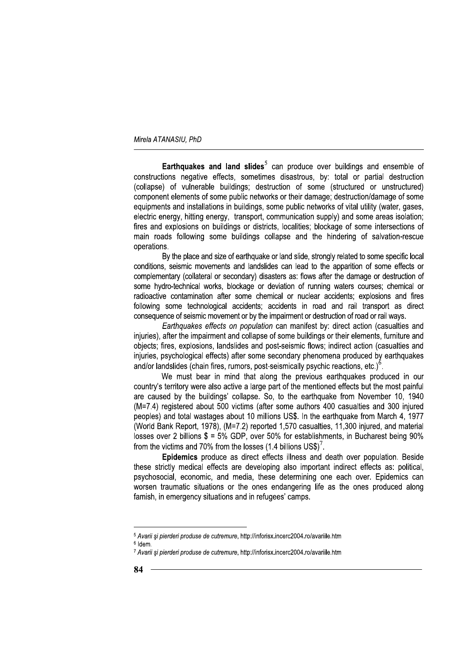**Earthquakes and land slides**<sup>5</sup> can produce over buildings and ensemble of constructions negative effects, sometimes disastrous, by: total or partial destruction (collapse) of vulnerable buildings; destruction of some (structured or unstructured) component elements of some public networks or their damage: destruction/damage of some equipments and installations in buildings, some public networks of vital utility (water, gases, electric energy, hitting energy, transport, communication supply) and some areas isolation; fires and explosions on buildings or districts, localities; blockage of some intersections of main roads following some buildings collapse and the hindering of salvation-rescue operations.

By the place and size of earthquake or land slide, strongly related to some specific local conditions, seismic movements and landslides can lead to the apparition of some effects or complementary (collateral or secondary) disasters as: flows after the damage or destruction of some hydro-technical works, blockage or deviation of running waters courses; chemical or radioactive contamination after some chemical or nuclear accidents: explosions and fires following some technological accidents; accidents in road and rail transport as direct consequence of seismic movement or by the impairment or destruction of road or rail ways.

Earthquakes effects on population can manifest by: direct action (casualties and injuries), after the impairment and collapse of some buildings or their elements, furniture and objects; fires, explosions, landslides and post-seismic flows; indirect action (casualties and injuries, psychological effects) after some secondary phenomena produced by earthquakes and/or landslides (chain fires, rumors, post-seismically psychic reactions, etc.) $<sup>6</sup>$ .</sup>

We must bear in mind that along the previous earthquakes produced in our country's territory were also active a large part of the mentioned effects but the most painful are caused by the buildings' collapse. So, to the earthquake from November 10, 1940 (M=7.4) registered about 500 victims (after some authors 400 casualties and 300 injured peoples) and total wastages about 10 millions US\$. In the earthquake from March 4, 1977 (World Bank Report, 1978), (M=7.2) reported 1,570 casualties, 11,300 injured, and material losses over 2 billions  $$ = 5\%$  GDP, over 50% for establishments, in Bucharest being 90% from the victims and 70% from the losses (1.4 billions  $USS^7$ .

Epidemics produce as direct effects illness and death over population. Beside these strictly medical effects are developing also important indirect effects as: political, psychosocial, economic, and media, these determining one each over. Epidemics can worsen traumatic situations or the ones endangering life as the ones produced along famish, in emergency situations and in refugees' camps.

<sup>&</sup>lt;sup>5</sup> Avarii și pierderi produse de cutremure, http://inforisx.incerc2004.ro/avariile.htm  $6$  Idem

<sup>7</sup> Avarii și pierderi produse de cutremure, http://inforisx.incerc2004.ro/avariile.htm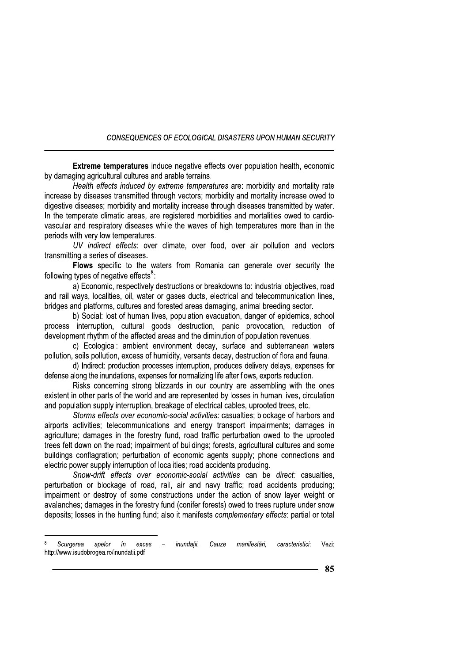**Extreme temperatures** induce negative effects over population health, economic by damaging agricultural cultures and arable terrains.

Health effects induced by extreme temperatures are: morbidity and mortality rate increase by diseases transmitted through vectors; morbidity and mortality increase owed to digestive diseases; morbidity and mortality increase through diseases transmitted by water. In the temperate climatic areas, are registered morbidities and mortalities owed to cardiovascular and respiratory diseases while the waves of high temperatures more than in the periods with very low temperatures.

UV indirect effects: over climate, over food, over air pollution and vectors transmitting a series of diseases.

Flows specific to the waters from Romania can generate over security the following types of negative effects<sup>8</sup>:

a) Economic, respectively destructions or breakdowns to: industrial objectives, road and rail ways, localities, oil, water or gases ducts, electrical and telecommunication lines. bridges and platforms, cultures and forested areas damaging, animal breeding sector.

b) Social: lost of human lives, population evacuation, danger of epidemics, school process interruption, cultural goods destruction, panic provocation, reduction of development rhythm of the affected areas and the diminution of population revenues.

c) Ecological: ambient environment decay, surface and subterranean waters pollution, soils pollution, excess of humidity, versants decay, destruction of flora and fauna.

d) Indirect: production processes interruption, produces delivery delays, expenses for defense along the inundations, expenses for normalizing life after flows, exports reduction.

Risks concerning strong blizzards in our country are assembling with the ones existent in other parts of the world and are represented by losses in human lives, circulation and population supply interruption, breakage of electrical cables, uprooted trees, etc.

Storms effects over economic-social activities: casualties; blockage of harbors and airports activities; telecommunications and energy transport impairments; damages in agriculture; damages in the forestry fund, road traffic perturbation owed to the uprooted trees felt down on the road; impairment of buildings; forests, agricultural cultures and some buildings conflagration; perturbation of economic agents supply; phone connections and electric power supply interruption of localities; road accidents producing.

Snow-drift effects over economic-social activities can be direct: casualties, perturbation or blockage of road, rail, air and navy traffic; road accidents producing; impairment or destroy of some constructions under the action of snow layer weight or avalanches; damages in the forestry fund (conifer forests) owed to trees rupture under snow deposits: losses in the hunting fund: also it manifests *complementary effects*: partial or total

Scurgerea apelor în exces inundatii. Cauze manifestări. caracteristici: Vezi: http://www.isudobrogea.ro/inundatii.pdf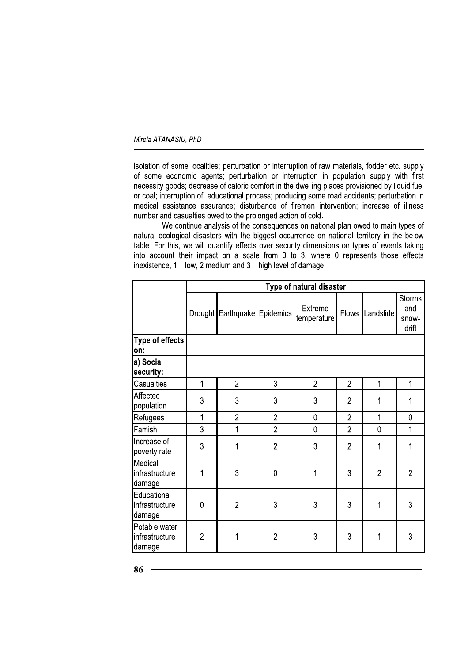isolation of some localities; perturbation or interruption of raw materials, fodder etc. supply of some economic agents; perturbation or interruption in population supply with first necessity goods; decrease of caloric comfort in the dwelling places provisioned by liquid fuel or coal; interruption of educational process; producing some road accidents; perturbation in medical assistance assurance; disturbance of firemen intervention; increase of illness number and casualties owed to the prolonged action of cold.

We continue analysis of the consequences on national plan owed to main types of natural ecological disasters with the biggest occurrence on national territory in the below table. For this, we will quantify effects over security dimensions on types of events taking into account their impact on a scale from 0 to 3, where 0 represents those effects inexistence,  $1 - low$ , 2 medium and  $3 - high$  level of damage.

|                                           | Type of natural disaster |                              |                |                        |                |                |                                        |
|-------------------------------------------|--------------------------|------------------------------|----------------|------------------------|----------------|----------------|----------------------------------------|
|                                           |                          | Drought Earthquake Epidemics |                | Extreme<br>temperature | Flows          | Landslide      | <b>Storms</b><br>and<br>snow-<br>drift |
| <b>Type of effects</b><br>on:             |                          |                              |                |                        |                |                |                                        |
| a) Social<br>security:                    |                          |                              |                |                        |                |                |                                        |
| Casualties                                | 1                        | $\overline{2}$               | 3              | $\overline{2}$         | $\overline{2}$ | $\mathbf{1}$   | 1                                      |
| Affected<br>population                    | 3                        | 3                            | 3              | 3                      | $\overline{2}$ | 1              | 1                                      |
| Refugees                                  | 1                        | $\overline{2}$               | $\overline{2}$ | $\pmb{0}$              | $\overline{2}$ | 1              | 0                                      |
| Famish                                    | 3                        | 1                            | $\overline{2}$ | $\mathbf 0$            | $\overline{2}$ | 0              | 1                                      |
| Increase of<br>poverty rate               | 3                        | 1                            | $\overline{2}$ | 3                      | $\overline{2}$ | 1              | 1                                      |
| Medical<br>infrastructure<br>damage       | 1                        | 3                            | $\mathbf 0$    | 1                      | 3              | $\overline{2}$ | $\overline{2}$                         |
| Educational<br>infrastructure<br>damage   | 0                        | $\overline{2}$               | 3              | 3                      | 3              | 1              | 3                                      |
| Potable water<br>infrastructure<br>damage | $\overline{2}$           | 1                            | $\overline{2}$ | 3                      | 3              | 1              | 3                                      |

86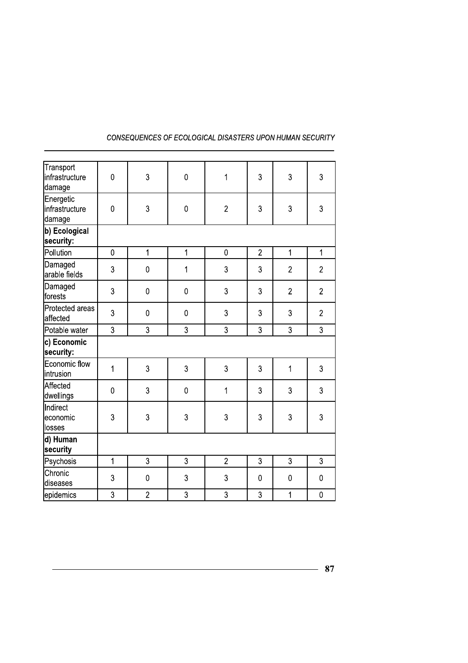| Transport<br>infrastructure<br> damage | $\overline{0}$ | 3              | $\mathbf 0$    | 1              | 3              | 3              | 3              |
|----------------------------------------|----------------|----------------|----------------|----------------|----------------|----------------|----------------|
| Energetic<br>infrastructure<br>damage  | $\overline{0}$ | 3              | 0              | $\overline{2}$ | 3              | 3              | 3              |
| b) Ecological<br>security:             |                |                |                |                |                |                |                |
| Pollution                              | $\mathbf 0$    | $\mathbf 1$    | $\overline{1}$ | $\mathbf 0$    | $\overline{2}$ | $\mathbf 1$    | $\mathbf{1}$   |
| Damaged<br>arable fields               | 3              | $\overline{0}$ | 1              | 3              | 3              | $\overline{2}$ | $\overline{2}$ |
| Damaged<br>forests                     | 3              | $\mathbf 0$    | $\mathbf 0$    | 3              | 3              | $\overline{2}$ | $\overline{2}$ |
| Protected areas<br>affected            | 3              | $\mathbf 0$    | $\mathbf 0$    | 3              | 3              | 3              | $\overline{2}$ |
| Potable water                          | 3              | 3              | 3              | 3              | 3              | 3              | 3              |
| c) Economic<br>security:               |                |                |                |                |                |                |                |
| Economic flow<br>lintrusion            | $\overline{1}$ | 3              | 3              | 3              | 3              | 1              | 3              |
| Affected<br>dwellings                  | $\overline{0}$ | 3              | $\pmb{0}$      | 1              | 3              | 3              | $\overline{3}$ |
| Indirect<br>leconomic<br>losses        | 3              | 3              | 3              | 3              | 3              | 3              | 3              |
| d) Human                               |                |                |                |                |                |                |                |
| security                               |                |                |                |                |                |                |                |
| Psychosis                              | $\overline{1}$ | 3              | 3              | $\overline{2}$ | 3              | 3              | $\overline{3}$ |
| Chronic<br>diseases                    | 3              | $\pmb{0}$      | 3              | 3              | $\mathbf 0$    | $\mathbf 0$    | $\pmb{0}$      |
| epidemics                              | 3              | $\overline{c}$ | 3              | 3              | 3              | 1              | $\pmb{0}$      |
|                                        |                |                |                |                |                |                |                |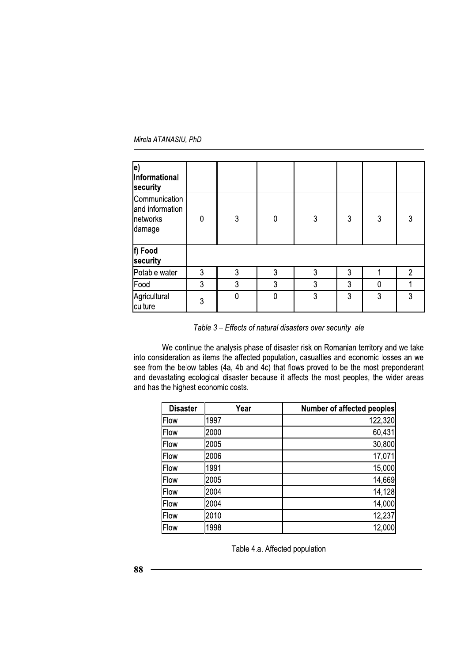Mirela ATANASIU. PhD

| le)<br><b>Informational</b><br>security                |   |   |              |   |   |             |  |
|--------------------------------------------------------|---|---|--------------|---|---|-------------|--|
| Communication<br>and information<br>networks<br>damage | 0 | 3 | $\mathbf{0}$ | 3 | 3 | 3           |  |
| f) Food<br>security                                    |   |   |              |   |   |             |  |
| Potable water                                          | 3 | 3 | 3            | 3 | 3 |             |  |
| Food                                                   | 3 | 3 | 3            | 3 | 3 | $\mathbf 0$ |  |
| Agricultural<br>culture                                | 3 | 0 | $\mathbf{0}$ | 3 | 3 | 3           |  |

Table 3 – Effects of natural disasters over security ale

| 3<br>culture                                                                                                                                                                        |                  |
|-------------------------------------------------------------------------------------------------------------------------------------------------------------------------------------|------------------|
|                                                                                                                                                                                     |                  |
| Table 3 - Effects of natural disasters over security ale                                                                                                                            |                  |
| We continue the analysis phase of disaster risk on Romanian territory and we take                                                                                                   |                  |
| into consideration as items the affected population, casualties and economic losses an we                                                                                           |                  |
| see from the below tables (4a, 4b and 4c) that flows proved to be the most preponderant<br>and devastating ecological disaster because it affects the most peoples, the wider areas |                  |
| and has the highest economic costs.                                                                                                                                                 |                  |
| <b>Disaster</b><br>Year<br>Number of affected peoples                                                                                                                               |                  |
| 1997<br>Flow                                                                                                                                                                        | 122,320          |
| 2000<br>Flow                                                                                                                                                                        | 60,431           |
| 2005<br>Flow<br>2006                                                                                                                                                                | 30,800           |
| Flow<br>1991<br>Flow                                                                                                                                                                | 17,071<br>15,000 |
| 2005<br>Flow                                                                                                                                                                        | 14,669           |
| 2004<br>Flow                                                                                                                                                                        | 14,128           |
| 2004<br>Flow                                                                                                                                                                        | 14,000           |
| 2010<br>Flow                                                                                                                                                                        | 12,237           |
| 1998<br>Flow                                                                                                                                                                        | 12,000           |
| Table 4.a. Affected population                                                                                                                                                      |                  |
| 88                                                                                                                                                                                  |                  |
|                                                                                                                                                                                     |                  |
|                                                                                                                                                                                     |                  |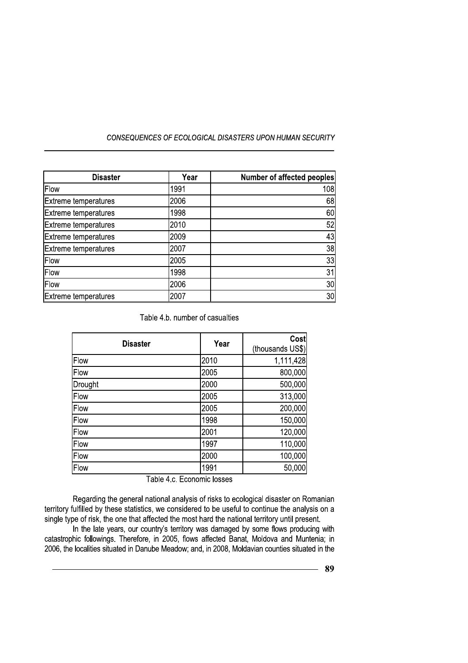| <b>Disaster</b>             | Year | <b>Number of affected peoples</b> |
|-----------------------------|------|-----------------------------------|
| Flow                        | 1991 | 108                               |
| Extreme temperatures        | 2006 | 68                                |
| Extreme temperatures        | 1998 | 60                                |
| <b>Extreme temperatures</b> | 2010 | 52                                |
| Extreme temperatures        | 2009 | 43                                |
| Extreme temperatures        | 2007 | 38                                |
| Flow                        | 2005 | 33                                |
| Flow                        | 1998 | 31                                |
| Flow                        | 2006 | 30                                |
| Extreme temperatures        | 2007 | 30 <sub>l</sub>                   |

Table 4.b. number of casualties

| <b>Disaster</b> | Year | Cost<br>(thousands US\$) |
|-----------------|------|--------------------------|
| Flow            | 2010 | 1,111,428                |
| Flow            | 2005 | 800,000                  |
| Drought         | 2000 | 500,000                  |
| Flow            | 2005 | 313,000                  |
| Flow            | 2005 | 200,000                  |
| Flow            | 1998 | 150,000                  |
| Flow            | 2001 | 120,000                  |
| Flow            | 1997 | 110,000                  |
| Flow            | 2000 | 100,000                  |
| Flow            | 1991 | 50,000                   |

Table 4.c. Economic losses

Regarding the general national analysis of risks to ecological disaster on Romanian territory fulfilled by these statistics, we considered to be useful to continue the analysis on a single type of risk, the one that affected the most hard the national territory until present.

In the late years, our country's territory was damaged by some flows producing with catastrophic followings. Therefore, in 2005, flows affected Banat, Moldova and Muntenia; in 2006, the localities situated in Danube Meadow; and, in 2008, Moldavian counties situated in the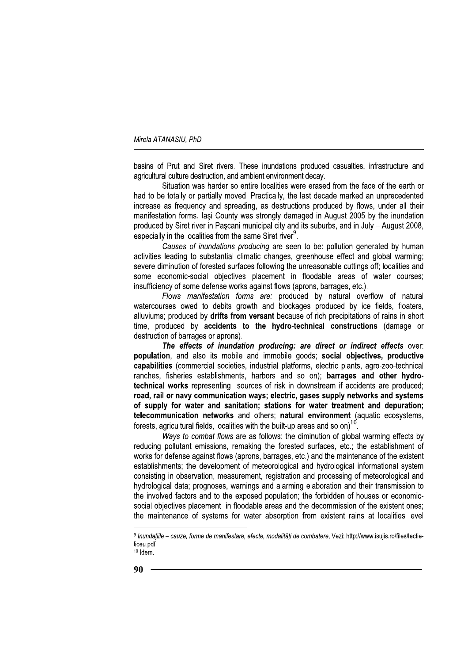basins of Prut and Siret rivers. These inundations produced casualties, infrastructure and agricultural culture destruction, and ambient environment decay.

Situation was harder so entire localities were erased from the face of the earth or had to be totally or partially moved. Practically, the last decade marked an unprecedented increase as frequency and spreading, as destructions produced by flows, under all their manifestation forms. Iasi County was strongly damaged in August 2005 by the inundation produced by Siret river in Pascani municipal city and its suburbs, and in July - August 2008, especially in the localities from the same Siret river<sup>9</sup>.

Causes of inundations producing are seen to be: pollution generated by human activities leading to substantial climatic changes, greenhouse effect and global warming; severe diminution of forested surfaces following the unreasonable cuttings off; localities and some economic-social objectives placement in floodable areas of water courses: insufficiency of some defense works against flows (aprons, barrages, etc.).

Flows manifestation forms are: produced by natural overflow of natural watercourses owed to debits growth and blockages produced by ice fields, floaters, alluviums: produced by drifts from versant because of rich precipitations of rains in short time, produced by accidents to the hydro-technical constructions (damage or destruction of barrages or aprons).

The effects of inundation producing: are direct or indirect effects over: population, and also its mobile and immobile goods; social objectives, productive capabilities (commercial societies, industrial platforms, electric plants, agro-zoo-technical ranches, fisheries establishments, harbors and so on); barrages and other hydrotechnical works representing sources of risk in downstream if accidents are produced; road, rail or navy communication ways; electric, gases supply networks and systems of supply for water and sanitation; stations for water treatment and depuration; telecommunication networks and others; natural environment (aquatic ecosystems, forests, agricultural fields, localities with the built-up areas and so on)<sup>10</sup>

Ways to combat flows are as follows: the diminution of global warming effects by reducing pollutant emissions, remaking the forested surfaces, etc.; the establishment of works for defense against flows (aprons, barrages, etc.) and the maintenance of the existent establishments; the development of meteorological and hydrological informational system consisting in observation, measurement, registration and processing of meteorological and hydrological data; prognoses, warnings and alarming elaboration and their transmission to the involved factors and to the exposed population; the forbidden of houses or economicsocial objectives placement in floodable areas and the decommission of the existent ones: the maintenance of systems for water absorption from existent rains at localities level

<sup>9</sup> Inundatiile – cauze, forme de manifestare, efecte, modalităti de combatere, Vezi: http://www.isujis.ro/files/lectieliceu pdf  $10$  Idem.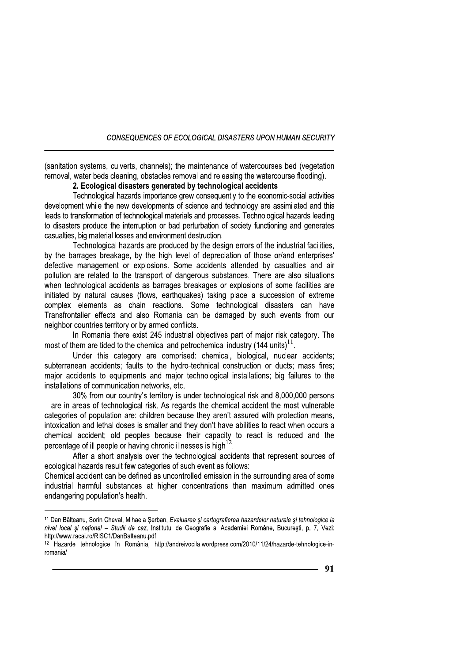(sanitation systems, culverts, channels); the maintenance of watercourses bed (vegetation removal, water beds cleaning, obstacles removal and releasing the watercourse flooding).

# 2. Ecological disasters generated by technological accidents

Technological hazards importance grew consequently to the economic-social activities development while the new developments of science and technology are assimilated and this leads to transformation of technological materials and processes. Technological hazards leading to disasters produce the interruption or bad perturbation of society functioning and generates casualties, big material losses and environment destruction.

Technological hazards are produced by the design errors of the industrial facilities, by the barrages breakage, by the high level of depreciation of those or/and enterprises' defective management or explosions. Some accidents attended by casualties and air pollution are related to the transport of dangerous substances. There are also situations when technological accidents as barrages breakages or explosions of some facilities are initiated by natural causes (flows, earthquakes) taking place a succession of extreme complex elements as chain reactions. Some technological disasters can have Transfrontalier effects and also Romania can be damaged by such events from our neighbor countries territory or by armed conflicts.

In Romania there exist 245 industrial objectives part of major risk category. The most of them are tided to the chemical and petrochemical industry  $(144 \text{ units})^{11}$ .

Under this category are comprised: chemical, biological, nuclear accidents; subterranean accidents; faults to the hydro-technical construction or ducts; mass fires; major accidents to equipments and major technological installations; big failures to the installations of communication networks, etc.

30% from our country's territory is under technological risk and 8,000,000 persons - are in areas of technological risk. As regards the chemical accident the most vulnerable categories of population are: children because they aren't assured with protection means, intoxication and lethal doses is smaller and they don't have abilities to react when occurs a chemical accident; old peoples because their capacity to react is reduced and the percentage of ill people or having chronic illnesses is high<sup>12</sup>.

After a short analysis over the technological accidents that represent sources of ecological hazards result few categories of such event as follows:

Chemical accident can be defined as uncontrolled emission in the surrounding area of some industrial harmful substances at higher concentrations than maximum admitted ones endangering population's health.

<sup>&</sup>lt;sup>11</sup> Dan Bălteanu, Sorin Cheval, Mihaela Serban, Evaluarea și cartografierea hazardelor naturale și tehnologice la nivel local și național - Studii de caz, Institutul de Geografie al Academiei Române, București, p. 7, Vezi: http://www.racai.ro/RISC1/DanBalteanu.pdf

<sup>&</sup>lt;sup>12</sup> Hazarde tehnologice în România, http://andreivocila.wordpress.com/2010/11/24/hazarde-tehnologice-inromania/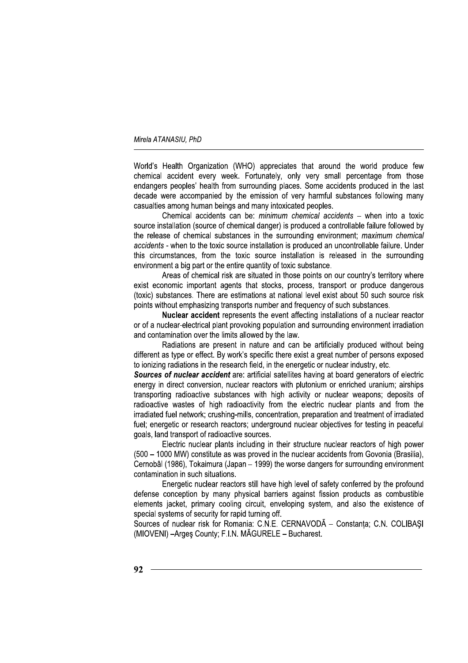World's Health Organization (WHO) appreciates that around the world produce few chemical accident every week. Fortunately, only very small percentage from those endangers peoples' health from surrounding places. Some accidents produced in the last decade were accompanied by the emission of very harmful substances following many casualties among human beings and many intoxicated peoples.

Chemical accidents can be: minimum chemical accidents - when into a toxic source installation (source of chemical danger) is produced a controllable failure followed by the release of chemical substances in the surrounding environment; maximum chemical accidents - when to the toxic source installation is produced an uncontrollable failure. Under this circumstances, from the toxic source installation is released in the surrounding environment a big part or the entire quantity of toxic substance.

Areas of chemical risk are situated in those points on our country's territory where exist economic important agents that stocks, process, transport or produce dangerous (toxic) substances. There are estimations at national level exist about 50 such source risk points without emphasizing transports number and frequency of such substances.

Nuclear accident represents the event affecting installations of a nuclear reactor or of a nuclear-electrical plant provoking population and surrounding environment irradiation and contamination over the limits allowed by the law.

Radiations are present in nature and can be artificially produced without being different as type or effect. By work's specific there exist a great number of persons exposed to ionizing radiations in the research field, in the energetic or nuclear industry, etc.

Sources of nuclear accident are: artificial satellites having at board generators of electric energy in direct conversion, nuclear reactors with plutonium or enriched uranium; airships transporting radioactive substances with high activity or nuclear weapons; deposits of radioactive wastes of high radioactivity from the electric nuclear plants and from the irradiated fuel network; crushing-mills, concentration, preparation and treatment of irradiated fuel; energetic or research reactors; underground nuclear objectives for testing in peaceful goals, land transport of radioactive sources.

Electric nuclear plants including in their structure nuclear reactors of high power (500 – 1000 MW) constitute as was proved in the nuclear accidents from Govonia (Brasilia). Cernobâl (1986), Tokaimura (Japan – 1999) the worse dangers for surrounding environment contamination in such situations.

Energetic nuclear reactors still have high level of safety conferred by the profound defense conception by many physical barriers against fission products as combustible elements jacket, primary cooling circuit, enveloping system, and also the existence of special systems of security for rapid turning off.

Sources of nuclear risk for Romania: C.N.E. CERNAVODA - Constanta: C.N. COLIBASI (MIOVENI) - Arges County; F.I.N. MÃGURELE - Bucharest.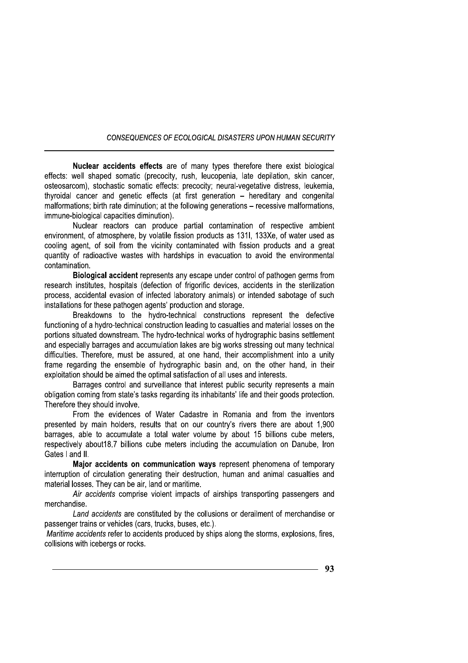Nuclear accidents effects are of many types therefore there exist biological effects: well shaped somatic (precocity, rush, leucopenia, late depilation, skin cancer, osteosarcom), stochastic somatic effects; precocity; neural-vegetative distress, leukemia. thyroidal cancer and genetic effects (at first generation - hereditary and congenital malformations; birth rate diminution; at the following generations – recessive malformations, immune-biological capacities diminution).

Nuclear reactors can produce partial contamination of respective ambient environment, of atmosphere, by volatile fission products as 131I, 133Xe, of water used as cooling agent, of soil from the vicinity contaminated with fission products and a great quantity of radioactive wastes with hardships in evacuation to avoid the environmental contamination.

Biological accident represents any escape under control of pathogen germs from research institutes, hospitals (defection of frigorific devices, accidents in the sterilization process, accidental evasion of infected laboratory animals) or intended sabotage of such installations for these pathogen agents' production and storage.

Breakdowns to the hydro-technical constructions represent the defective functioning of a hydro-technical construction leading to casualties and material losses on the portions situated downstream. The hydro-technical works of hydrographic basins settlement and especially barrages and accumulation lakes are big works stressing out many technical difficulties. Therefore, must be assured, at one hand, their accomplishment into a unity frame regarding the ensemble of hydrographic basin and, on the other hand, in their exploitation should be aimed the optimal satisfaction of all uses and interests.

Barrages control and surveillance that interest public security represents a main obligation coming from state's tasks regarding its inhabitants' life and their goods protection. Therefore they should involve.

From the evidences of Water Cadastre in Romania and from the inventors presented by main holders, results that on our country's rivers there are about 1,900 barrages, able to accumulate a total water volume by about 15 billions cube meters, respectively about 18.7 billions cube meters including the accumulation on Danube. Iron Gates I and II.

Major accidents on communication ways represent phenomena of temporary interruption of circulation generating their destruction, human and animal casualties and material losses. They can be air, land or maritime.

Air accidents comprise violent impacts of airships transporting passengers and merchandise.

Land accidents are constituted by the collusions or derailment of merchandise or passenger trains or vehicles (cars. trucks, buses, etc.).

Maritime accidents refer to accidents produced by ships along the storms, explosions, fires, collisions with icebergs or rocks.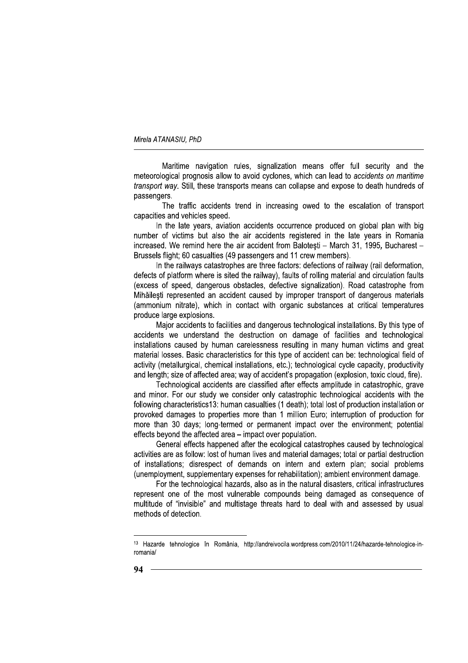Maritime navigation rules, signalization means offer full security and the meteorological prognosis allow to avoid cyclones, which can lead to accidents on maritime transport way. Still, these transports means can collapse and expose to death hundreds of passengers.

The traffic accidents trend in increasing owed to the escalation of transport capacities and vehicles speed.

In the late years, aviation accidents occurrence produced on global plan with big number of victims but also the air accidents registered in the late years in Romania increased. We remind here the air accident from Balotesti - March 31, 1995, Bucharest -Brussels flight; 60 casualties (49 passengers and 11 crew members).

In the railways catastrophes are three factors: defections of railway (rail deformation, defects of platform where is sited the railway), faults of rolling material and circulation faults (excess of speed, dangerous obstacles, defective signalization). Road catastrophe from Mihăilești represented an accident caused by improper transport of dangerous materials (ammonium nitrate), which in contact with organic substances at critical temperatures produce large explosions.

Maior accidents to facilities and dangerous technological installations. By this type of accidents we understand the destruction on damage of facilities and technological installations caused by human carelessness resulting in many human victims and great material losses. Basic characteristics for this type of accident can be: technological field of activity (metallurgical, chemical installations, etc.); technological cycle capacity, productivity and length; size of affected area; way of accident's propagation (explosion, toxic cloud, fire).

Technological accidents are classified after effects amplitude in catastrophic, grave and minor. For our study we consider only catastrophic technological accidents with the following characteristics13: human casualties (1 death); total lost of production installation or provoked damages to properties more than 1 million Euro; interruption of production for more than 30 days; long-termed or permanent impact over the environment; potential effects beyond the affected area - impact over population.

General effects happened after the ecological catastrophes caused by technological activities are as follow: lost of human lives and material damages; total or partial destruction of installations; disrespect of demands on intern and extern plan; social problems (unemployment, supplementary expenses for rehabilitation); ambient environment damage.

For the technological hazards, also as in the natural disasters, critical infrastructures represent one of the most vulnerable compounds being damaged as consequence of multitude of "invisible" and multistage threats hard to deal with and assessed by usual methods of detection.

<sup>&</sup>lt;sup>13</sup> Hazarde tehnologice în România, http://andreivocila.wordpress.com/2010/11/24/hazarde-tehnologice-inromania/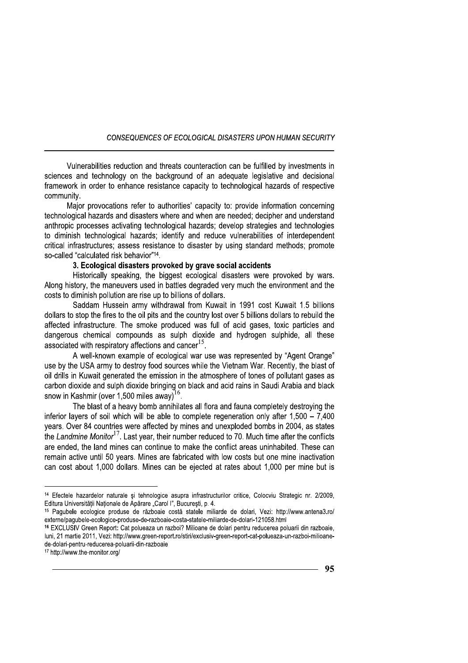Vulnerabilities reduction and threats counteraction can be fulfilled by investments in sciences and technology on the background of an adequate legislative and decisional framework in order to enhance resistance capacity to technological hazards of respective community.

Major provocations refer to authorities' capacity to: provide information concerning technological hazards and disasters where and when are needed; decipher and understand anthropic processes activating technological hazards; develop strategies and technologies to diminish technological hazards; identify and reduce vulnerabilities of interdependent critical infrastructures; assess resistance to disaster by using standard methods; promote so-called "calculated risk behavior"<sup>14</sup>.

# 3. Ecological disasters provoked by grave social accidents

Historically speaking, the biggest ecological disasters were provoked by wars. Along history, the maneuvers used in battles degraded very much the environment and the costs to diminish pollution are rise up to billions of dollars.

Saddam Hussein army withdrawal from Kuwait in 1991 cost Kuwait 1.5 billions dollars to stop the fires to the oil pits and the country lost over 5 billions dollars to rebuild the affected infrastructure. The smoke produced was full of acid gases, toxic particles and dangerous chemical compounds as sulph dioxide and hydrogen sulphide, all these associated with respiratory affections and cancer<sup>15</sup>.

A well-known example of ecological war use was represented by "Agent Orange" use by the USA army to destroy food sources while the Vietnam War. Recently, the blast of oil drills in Kuwait generated the emission in the atmosphere of tones of pollutant gases as carbon dioxide and sulph dioxide bringing on black and acid rains in Saudi Arabia and black snow in Kashmir (over 1,500 miles away)<sup>16</sup>.

The blast of a heavy bomb annihilates all flora and fauna completely destroying the inferior layers of soil which will be able to complete regeneration only after  $1,500 - 7,400$ years. Over 84 countries were affected by mines and unexploded bombs in 2004, as states the Landmine Monitor<sup>17</sup>. Last year, their number reduced to 70. Much time after the conflicts are ended, the land mines can continue to make the conflict areas uninhabited. These can remain active until 50 years. Mines are fabricated with low costs but one mine inactivation can cost about 1,000 dollars. Mines can be ejected at rates about 1,000 per mine but is

<sup>&</sup>lt;sup>14</sup> Efectele hazardelor naturale si tehnologice asupra infrastructurilor critice, Colocviu Strategic nr. 2/2009, Editura Universitătii Nationale de Apărare "Carol I", București, p. 4.

<sup>15</sup> Pagubele ecologice produse de războaie costă statele miliarde de dolari, Vezi: http://www.antena3.ro/ externe/paqubele-ecologice-produse-de-razboaie-costa-statele-miliarde-de-dolari-121058.html

<sup>16</sup> EXCLUSIV Green Report: Cat polueaza un razboi? Milioane de dolari pentru reducerea poluarii din razboaie, luni, 21 martie 2011, Vezi: http://www.green-report.ro/stiri/exclusiv-green-report-cat-polueaza-un-razboi-milioanede-dolari-pentru-reducerea-poluarii-din-razboaie

<sup>&</sup>lt;sup>17</sup> http://www.the-monitor.org/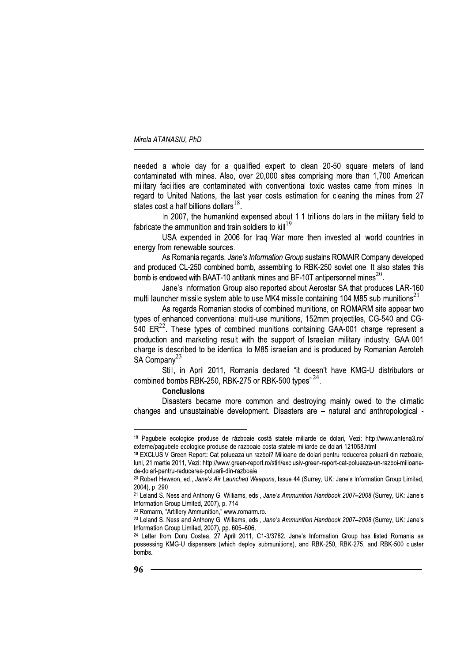needed a whole day for a qualified expert to clean 20-50 square meters of land contaminated with mines. Also, over 20,000 sites comprising more than 1,700 American military facilities are contaminated with conventional toxic wastes came from mines. In regard to United Nations, the last year costs estimation for cleaning the mines from 27 states cost a half billions dollars<sup>18</sup>.

In 2007, the humankind expensed about 1.1 trillions dollars in the military field to fabricate the ammunition and train soldiers to kill<sup>19</sup>.

USA expended in 2006 for Iraq War more then invested all world countries in energy from renewable sources.

As Romania regards, Jane's Information Group sustains ROMAIR Company developed and produced CL-250 combined bomb, assembling to RBK-250 soviet one. It also states this bomb is endowed with BAAT-10 antitank mines and BF-10T antipersonnel mines<sup>20</sup>.

Jane's Information Group also reported about Aerostar SA that produces LAR-160 multi-launcher missile system able to use MK4 missile containing 104 M85 sub-munitions<sup>21</sup>

As regards Romanian stocks of combined munitions, on ROMARM site appear two types of enhanced conventional multi-use munitions, 152mm projectiles, CG-540 and CG- $540$  ER<sup>22</sup>. These types of combined munitions containing GAA-001 charge represent a production and marketing result with the support of Israelian military industry. GAA-001 charge is described to be identical to M85 israelian and is produced by Romanian Aeroteh SA Company<sup>23</sup>.

Still, in April 2011, Romania declared "it doesn't have KMG-U distributors or combined bombs RBK-250, RBK-275 or RBK-500 types"<sup>24</sup>.

#### **Conclusions**

Disasters became more common and destroving mainly owed to the climatic changes and unsustainable development. Disasters are - natural and anthropological -

<sup>18</sup> Paqubele ecologice produse de războaie costă statele miliarde de dolari, Vezi: http://www.antena3.ro/ externe/paqubele-ecologice-produse-de-razboaie-costa-statele-miliarde-de-dolari-121058.html

<sup>&</sup>lt;sup>19</sup> EXCLUSIV Green Report: Cat polueaza un razboi? Milioane de dolari pentru reducerea poluarii din razboaie, luni, 21 martie 2011, Vezi: http://www.green-report.ro/stiri/exclusiv-green-report-cat-polueaza-un-razboi-milioanede-dolari-pentru-reducerea-poluarii-din-razboaie

<sup>&</sup>lt;sup>20</sup> Robert Hewson, ed., Jane's Air Launched Weapons, Issue 44 (Surrey, UK: Jane's Information Group Limited, 2004), p. 290.

<sup>&</sup>lt;sup>21</sup> Leland S. Ness and Anthony G. Williams, eds., Jane's Ammunition Handbook 2007-2008 (Surrey, UK: Jane's Information Group Limited, 2007), p. 714.

<sup>&</sup>lt;sup>22</sup> Romarm, "Artillery Ammunition," www.romarm.ro.

<sup>&</sup>lt;sup>23</sup> Leland S. Ness and Anthony G. Williams, eds., Jane's Ammunition Handbook 2007-2008 (Surrey, UK; Jane's Information Group Limited, 2007), pp. 605-606.

<sup>&</sup>lt;sup>24</sup> Letter from Doru Costea, 27 April 2011, C1-3/3782. Jane's Information Group has listed Romania as possessing KMG-U dispensers (which deploy submunitions), and RBK-250, RBK-275, and RBK-500 cluster bombs.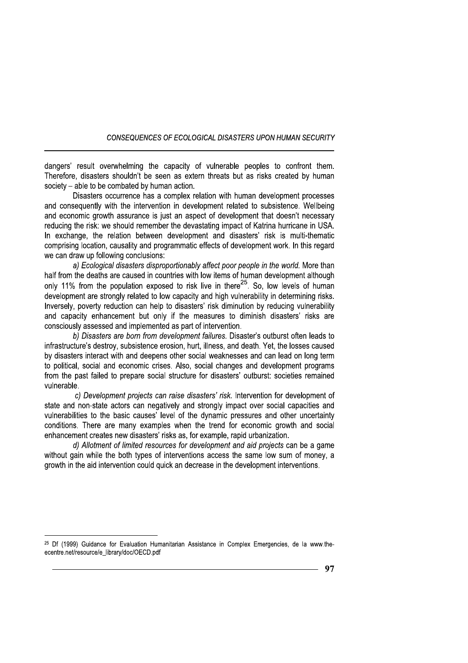dangers' result overwhelming the capacity of vulnerable peoples to confront them. Therefore, disasters shouldn't be seen as extern threats but as risks created by human society – able to be combated by human action.

Disasters occurrence has a complex relation with human development processes and consequently with the intervention in development related to subsistence. Wellbeing and economic growth assurance is just an aspect of development that doesn't necessary reducing the risk: we should remember the devastating impact of Katrina hurricane in USA. In exchange, the relation between development and disasters' risk is multi-thematic comprising location, causality and programmatic effects of development work. In this regard we can draw up following conclusions:

a) Ecological disasters disproportionably affect poor people in the world. More than half from the deaths are caused in countries with low items of human development although only 11% from the population exposed to risk live in there<sup>25</sup>. So, low levels of human development are strongly related to low capacity and high vulnerability in determining risks. Inversely, poverty reduction can help to disasters' risk diminution by reducing vulnerability and capacity enhancement but only if the measures to diminish disasters' risks are consciously assessed and implemented as part of intervention.

b) Disasters are born from development failures. Disaster's outburst often leads to infrastructure's destroy, subsistence erosion, hurt, illness, and death. Yet, the losses caused by disasters interact with and deepens other social weaknesses and can lead on long term to political, social and economic crises. Also, social changes and development programs from the past failed to prepare social structure for disasters' outburst: societies remained vulnerable.

c) Development projects can raise disasters' risk. Intervention for development of state and non-state actors can negatively and strongly impact over social capacities and vulnerabilities to the basic causes' level of the dynamic pressures and other uncertainty conditions. There are many examples when the trend for economic growth and social enhancement creates new disasters' risks as, for example, rapid urbanization.

d) Allotment of limited resources for development and aid projects can be a game without gain while the both types of interventions access the same low sum of money, a arowth in the aid intervention could quick an decrease in the development interventions.

<sup>&</sup>lt;sup>25</sup> Df (1999) Guidance for Evaluation Humanitarian Assistance in Complex Emergencies, de la www.theecentre.net/resource/e\_library/doc/OECD.pdf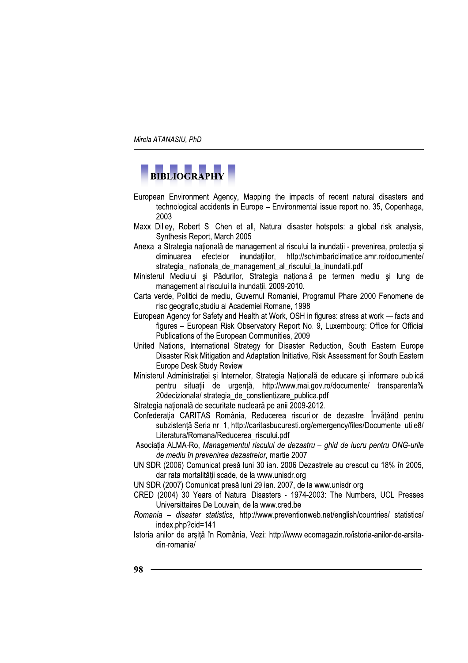# BIBLIOGRAPHY

- European Environment Agency, Mapping the impacts of recent natural disasters and technological accidents in Europe - Environmental issue report no. 35, Copenhaga, 2003.
- Maxx Dilley, Robert S. Chen et all, Natural disaster hotspots: a global risk analysis, Synthesis Report, March 2005
- Anexa la Strategia natională de management al riscului la inundații prevenirea, protectia și efectelor inundatiilor, http://schimbariclimatice.amr.ro/documente/ diminuarea strategia\_nationala\_de\_management\_al\_riscului\_la\_inundatii.pdf
- Ministerul Mediului și Pădurilor, Strategia natională pe termen mediu și lung de management al riscului la inundații, 2009-2010.
- Carta verde, Politici de mediu, Guvernul Romaniei, Programul Phare 2000 Fenomene de risc geografic, studiu al Academiei Romane, 1998
- European Agency for Safety and Health at Work. OSH in figures: stress at work facts and figures - European Risk Observatory Report No. 9, Luxembourg: Office for Official Publications of the European Communities, 2009.
- United Nations, International Strategy for Disaster Reduction, South Eastern Europe Disaster Risk Mitigation and Adaptation Initiative, Risk Assessment for South Eastern Europe Desk Study Review
- Ministerul Administratiei și Internelor, Strategia Natională de educare și informare publică pentru situatii de urgentă, http://www.mai.gov.ro/documente/ transparenta% 20 decizionala/ strategia de constientizare publica.pdf
- Strategia natională de securitate nucleară pe anii 2009-2012.
- Confederatia CARITAS România, Reducerea riscurilor de dezastre. Învătând pentru subzistență Seria nr. 1, http://caritasbucuresti.org/emergency/files/Documente\_utile8/ Literatura/Romana/Reducerea riscului.pdf
- Asociatia ALMA-Ro, Managementul riscului de dezastru ghid de lucru pentru ONG-urile de mediu în prevenirea dezastrelor, martie 2007
- UNISDR (2006) Comunicat presă luni 30 ian. 2006 Dezastrele au crescut cu 18% în 2005, dar rata mortalitătii scade, de la www.unisdr.org
- UNISDR (2007) Comunicat presă luni 29 ian. 2007, de la www.unisdr.org
- CRED (2004) 30 Years of Natural Disasters 1974-2003: The Numbers, UCL Presses Universittaires De Louvain, de la www.cred.be
- Romania disaster statistics, http://www.preventionweb.net/english/countries/ statistics/ index.php?cid=141
- Istoria anilor de arșită în România, Vezi: http://www.ecomagazin.ro/istoria-anilor-de-arsitadin-romania/